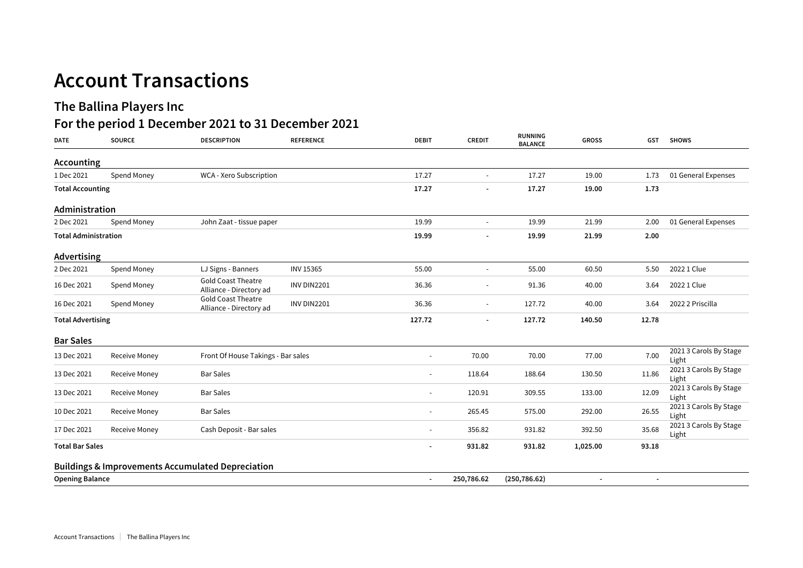## **Account Transactions**

## **The Ballina Players Inc**

## **For the period 1 December 2021 to 31 December 2021**

| <b>DATE</b>                 | <b>SOURCE</b> | <b>DESCRIPTION</b>                                           | <b>REFERENCE</b>   | <b>DEBIT</b>             | <b>CREDIT</b> | RUNNING<br><b>BALANCE</b> | <b>GROSS</b> | <b>GST</b> | <b>SHOWS</b>                    |
|-----------------------------|---------------|--------------------------------------------------------------|--------------------|--------------------------|---------------|---------------------------|--------------|------------|---------------------------------|
| Accounting                  |               |                                                              |                    |                          |               |                           |              |            |                                 |
| 1 Dec 2021                  | Spend Money   | WCA - Xero Subscription                                      |                    | 17.27                    | $\sim$        | 17.27                     | 19.00        | 1.73       | 01 General Expenses             |
| <b>Total Accounting</b>     |               |                                                              |                    | 17.27                    |               | 17.27                     | 19.00        | 1.73       |                                 |
| Administration              |               |                                                              |                    |                          |               |                           |              |            |                                 |
| 2 Dec 2021                  | Spend Money   | John Zaat - tissue paper                                     |                    | 19.99                    | $\sim$        | 19.99                     | 21.99        | 2.00       | 01 General Expenses             |
| <b>Total Administration</b> |               |                                                              |                    | 19.99                    |               | 19.99                     | 21.99        | 2.00       |                                 |
| Advertising                 |               |                                                              |                    |                          |               |                           |              |            |                                 |
| 2 Dec 2021                  | Spend Money   | LJ Signs - Banners                                           | <b>INV 15365</b>   | 55.00                    | $\sim$        | 55.00                     | 60.50        | 5.50       | 2022 1 Clue                     |
| 16 Dec 2021                 | Spend Money   | <b>Gold Coast Theatre</b><br>Alliance - Directory ad         | INV DIN2201        | 36.36                    |               | 91.36                     | 40.00        | 3.64       | 2022 1 Clue                     |
| 16 Dec 2021                 | Spend Money   | <b>Gold Coast Theatre</b><br>Alliance - Directory ad         | <b>INV DIN2201</b> | 36.36                    |               | 127.72                    | 40.00        | 3.64       | 2022 2 Priscilla                |
| <b>Total Advertising</b>    |               |                                                              | 127.72             |                          | 127.72        | 140.50                    | 12.78        |            |                                 |
| <b>Bar Sales</b>            |               |                                                              |                    |                          |               |                           |              |            |                                 |
| 13 Dec 2021                 | Receive Money | Front Of House Takings - Bar sales                           |                    |                          | 70.00         | 70.00                     | 77.00        | 7.00       | 2021 3 Carols By Stage<br>Light |
| 13 Dec 2021                 | Receive Money | <b>Bar Sales</b>                                             |                    |                          | 118.64        | 188.64                    | 130.50       | 11.86      | 2021 3 Carols By Stage<br>Light |
| 13 Dec 2021                 | Receive Money | <b>Bar Sales</b>                                             |                    |                          | 120.91        | 309.55                    | 133.00       | 12.09      | 2021 3 Carols By Stage<br>Light |
| 10 Dec 2021                 | Receive Money | <b>Bar Sales</b>                                             |                    |                          | 265.45        | 575.00                    | 292.00       | 26.55      | 2021 3 Carols By Stage<br>Light |
| 17 Dec 2021                 | Receive Money | Cash Deposit - Bar sales                                     |                    | $\sim$                   | 356.82        | 931.82                    | 392.50       | 35.68      | 2021 3 Carols By Stage<br>Light |
| <b>Total Bar Sales</b>      |               |                                                              |                    | $\overline{\phantom{a}}$ | 931.82        | 931.82                    | 1,025.00     | 93.18      |                                 |
|                             |               | <b>Buildings &amp; Improvements Accumulated Depreciation</b> |                    |                          |               |                           |              |            |                                 |
| <b>Opening Balance</b>      |               |                                                              |                    | $\overline{\phantom{a}}$ | 250,786.62    | (250, 786.62)             |              |            |                                 |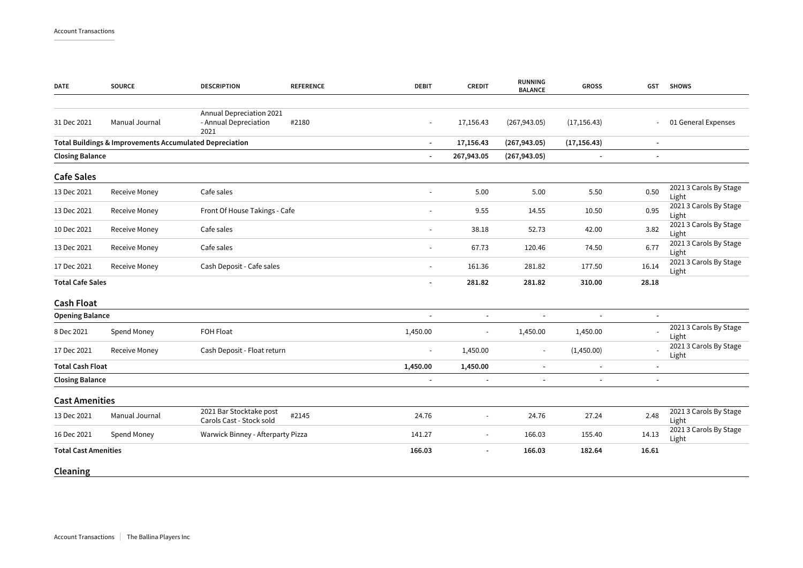| <b>DATE</b>                 | <b>SOURCE</b>                                           | <b>DESCRIPTION</b>                                        | <b>REFERENCE</b> | <b>DEBIT</b>             | <b>CREDIT</b>            | <b>RUNNING</b><br><b>BALANCE</b> | <b>GROSS</b>   | <b>GST</b>               | <b>SHOWS</b>                    |
|-----------------------------|---------------------------------------------------------|-----------------------------------------------------------|------------------|--------------------------|--------------------------|----------------------------------|----------------|--------------------------|---------------------------------|
|                             |                                                         |                                                           |                  |                          |                          |                                  |                |                          |                                 |
| 31 Dec 2021                 | Manual Journal                                          | Annual Depreciation 2021<br>- Annual Depreciation<br>2021 | #2180            |                          | 17,156.43                | (267, 943.05)                    | (17, 156.43)   |                          | 01 General Expenses             |
|                             | Total Buildings & Improvements Accumulated Depreciation |                                                           |                  | $\blacksquare$           | 17,156.43                | (267, 943.05)                    | (17, 156.43)   |                          |                                 |
| <b>Closing Balance</b>      |                                                         |                                                           |                  | $\blacksquare$           | 267,943.05               | (267, 943.05)                    | $\blacksquare$ | $\sim$                   |                                 |
| <b>Cafe Sales</b>           |                                                         |                                                           |                  |                          |                          |                                  |                |                          |                                 |
| 13 Dec 2021                 | Receive Money                                           | Cafe sales                                                |                  |                          | 5.00                     | 5.00                             | 5.50           | 0.50                     | 2021 3 Carols By Stage<br>Light |
| 13 Dec 2021                 | Receive Money                                           | Front Of House Takings - Cafe                             |                  | ÷.                       | 9.55                     | 14.55                            | 10.50          | 0.95                     | 2021 3 Carols By Stage<br>Light |
| 10 Dec 2021                 | Receive Money                                           | Cafe sales                                                |                  |                          | 38.18                    | 52.73                            | 42.00          | 3.82                     | 2021 3 Carols By Stage<br>Light |
| 13 Dec 2021                 | Receive Money                                           | Cafe sales                                                |                  | $\overline{\phantom{a}}$ | 67.73                    | 120.46                           | 74.50          | 6.77                     | 2021 3 Carols By Stage<br>Light |
| 17 Dec 2021                 | Receive Money                                           | Cash Deposit - Cafe sales                                 |                  | $\overline{\phantom{a}}$ | 161.36                   | 281.82                           | 177.50         | 16.14                    | 2021 3 Carols By Stage<br>Light |
| <b>Total Cafe Sales</b>     |                                                         |                                                           |                  |                          | 281.82                   | 281.82                           | 310.00         | 28.18                    |                                 |
| <b>Cash Float</b>           |                                                         |                                                           |                  |                          |                          |                                  |                |                          |                                 |
| <b>Opening Balance</b>      |                                                         |                                                           |                  | $\overline{\phantom{a}}$ |                          | $\overline{\phantom{a}}$         | $\blacksquare$ |                          |                                 |
| 8 Dec 2021                  | Spend Money                                             | FOH Float                                                 |                  | 1,450.00                 | $\sim$                   | 1,450.00                         | 1,450.00       |                          | 2021 3 Carols By Stage<br>Light |
| 17 Dec 2021                 | Receive Money                                           | Cash Deposit - Float return                               |                  | $\blacksquare$           | 1,450.00                 | $\blacksquare$                   | (1,450.00)     |                          | 2021 3 Carols By Stage<br>Light |
| <b>Total Cash Float</b>     |                                                         |                                                           |                  | 1,450.00                 | 1,450.00                 |                                  |                |                          |                                 |
| <b>Closing Balance</b>      |                                                         |                                                           |                  | $\blacksquare$           | $\overline{\phantom{a}}$ | $\blacksquare$                   | $\blacksquare$ | $\overline{\phantom{a}}$ |                                 |
| <b>Cast Amenities</b>       |                                                         |                                                           |                  |                          |                          |                                  |                |                          |                                 |
| 13 Dec 2021                 | Manual Journal                                          | 2021 Bar Stocktake post<br>Carols Cast - Stock sold       | #2145            | 24.76                    | $\overline{\phantom{a}}$ | 24.76                            | 27.24          | 2.48                     | 2021 3 Carols By Stage<br>Light |
| 16 Dec 2021                 | Spend Money                                             | Warwick Binney - Afterparty Pizza                         |                  | 141.27                   | $\overline{\phantom{a}}$ | 166.03                           | 155.40         | 14.13                    | 2021 3 Carols By Stage<br>Light |
| <b>Total Cast Amenities</b> |                                                         |                                                           |                  | 166.03                   |                          | 166.03                           | 182.64         | 16.61                    |                                 |
| Cleaning                    |                                                         |                                                           |                  |                          |                          |                                  |                |                          |                                 |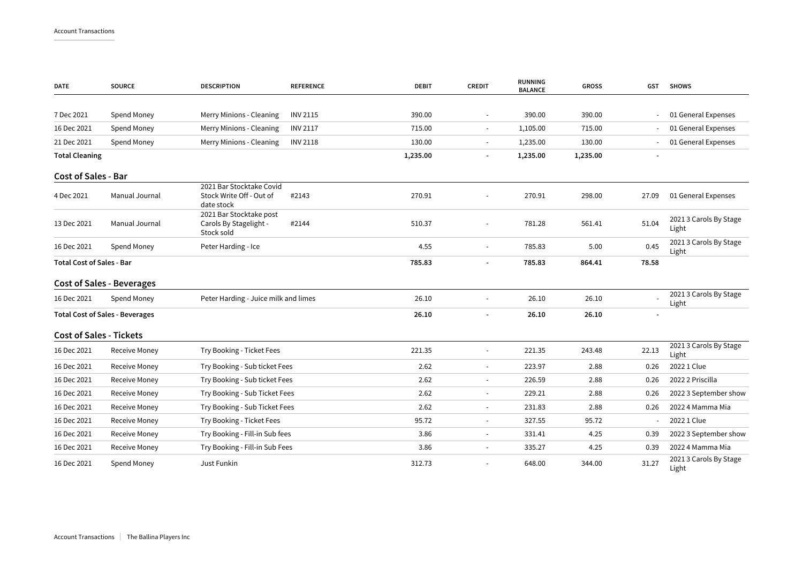| <b>DATE</b>                      | <b>SOURCE</b>                          | <b>DESCRIPTION</b>                                                 | <b>REFERENCE</b> | <b>DEBIT</b> | <b>CREDIT</b>            | <b>RUNNING</b><br><b>BALANCE</b> | <b>GROSS</b> | GST   | <b>SHOWS</b>                    |
|----------------------------------|----------------------------------------|--------------------------------------------------------------------|------------------|--------------|--------------------------|----------------------------------|--------------|-------|---------------------------------|
|                                  |                                        |                                                                    |                  |              |                          |                                  |              |       |                                 |
| 7 Dec 2021                       | Spend Money                            | Merry Minions - Cleaning                                           | <b>INV 2115</b>  | 390.00       |                          | 390.00                           | 390.00       |       | 01 General Expenses             |
| 16 Dec 2021                      | Spend Money                            | Merry Minions - Cleaning                                           | <b>INV 2117</b>  | 715.00       | $\overline{\phantom{a}}$ | 1,105.00                         | 715.00       |       | 01 General Expenses             |
| 21 Dec 2021                      | Spend Money                            | Merry Minions - Cleaning                                           | <b>INV 2118</b>  | 130.00       |                          | 1,235.00                         | 130.00       |       | 01 General Expenses             |
| <b>Total Cleaning</b>            |                                        |                                                                    |                  | 1,235.00     |                          | 1,235.00                         | 1,235.00     |       |                                 |
| <b>Cost of Sales - Bar</b>       |                                        |                                                                    |                  |              |                          |                                  |              |       |                                 |
| 4 Dec 2021                       | Manual Journal                         | 2021 Bar Stocktake Covid<br>Stock Write Off - Out of<br>date stock | #2143            | 270.91       |                          | 270.91                           | 298.00       | 27.09 | 01 General Expenses             |
| 13 Dec 2021                      | Manual Journal                         | 2021 Bar Stocktake post<br>Carols By Stagelight -<br>Stock sold    | #2144            | 510.37       |                          | 781.28                           | 561.41       | 51.04 | 2021 3 Carols By Stage<br>Light |
| 16 Dec 2021                      | Spend Money                            | Peter Harding - Ice                                                |                  | 4.55         |                          | 785.83                           | 5.00         | 0.45  | 2021 3 Carols By Stage<br>Light |
| <b>Total Cost of Sales - Bar</b> |                                        |                                                                    |                  | 785.83       |                          | 785.83                           | 864.41       | 78.58 |                                 |
|                                  | <b>Cost of Sales - Beverages</b>       |                                                                    |                  |              |                          |                                  |              |       |                                 |
| 16 Dec 2021                      | Spend Money                            | Peter Harding - Juice milk and limes                               |                  | 26.10        |                          | 26.10                            | 26.10        |       | 2021 3 Carols By Stage<br>Light |
|                                  | <b>Total Cost of Sales - Beverages</b> |                                                                    |                  | 26.10        |                          | 26.10                            | 26.10        |       |                                 |
| <b>Cost of Sales - Tickets</b>   |                                        |                                                                    |                  |              |                          |                                  |              |       |                                 |
| 16 Dec 2021                      | Receive Money                          | Try Booking - Ticket Fees                                          |                  | 221.35       |                          | 221.35                           | 243.48       | 22.13 | 2021 3 Carols By Stage<br>Light |
| 16 Dec 2021                      | Receive Money                          | Try Booking - Sub ticket Fees                                      |                  | 2.62         | $\overline{\phantom{a}}$ | 223.97                           | 2.88         | 0.26  | 2022 1 Clue                     |
| 16 Dec 2021                      | <b>Receive Money</b>                   | Try Booking - Sub ticket Fees                                      |                  | 2.62         | $\overline{\phantom{a}}$ | 226.59                           | 2.88         | 0.26  | 2022 2 Priscilla                |
| 16 Dec 2021                      | Receive Money                          | Try Booking - Sub Ticket Fees                                      |                  | 2.62         | $\overline{\phantom{a}}$ | 229.21                           | 2.88         | 0.26  | 2022 3 September show           |
| 16 Dec 2021                      | Receive Money                          | Try Booking - Sub Ticket Fees                                      |                  | 2.62         | $\overline{\phantom{a}}$ | 231.83                           | 2.88         | 0.26  | 2022 4 Mamma Mia                |
| 16 Dec 2021                      | Receive Money                          | Try Booking - Ticket Fees                                          |                  | 95.72        | $\overline{\phantom{a}}$ | 327.55                           | 95.72        |       | 2022 1 Clue                     |
| 16 Dec 2021                      | <b>Receive Money</b>                   | Try Booking - Fill-in Sub fees                                     |                  | 3.86         | $\overline{\phantom{a}}$ | 331.41                           | 4.25         | 0.39  | 2022 3 September show           |
| 16 Dec 2021                      | Receive Money                          | Try Booking - Fill-in Sub Fees                                     |                  | 3.86         |                          | 335.27                           | 4.25         | 0.39  | 2022 4 Mamma Mia                |
| 16 Dec 2021                      | Spend Money                            | Just Funkin                                                        |                  | 312.73       |                          | 648.00                           | 344.00       | 31.27 | 2021 3 Carols By Stage<br>Light |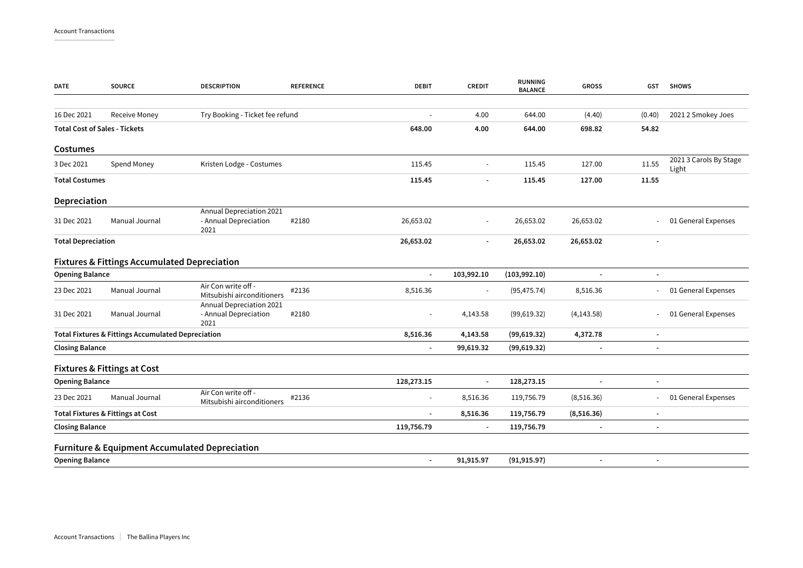| <b>DATE</b>               | <b>SOURCE</b>                                                 | <b>DESCRIPTION</b>                                        | <b>REFERENCE</b> | <b>DEBIT</b>             | <b>CREDIT</b>            | <b>RUNNING</b><br><b>BALANCE</b> | <b>GROSS</b>             | GST                      | <b>SHOWS</b>                    |
|---------------------------|---------------------------------------------------------------|-----------------------------------------------------------|------------------|--------------------------|--------------------------|----------------------------------|--------------------------|--------------------------|---------------------------------|
| 16 Dec 2021               | <b>Receive Money</b>                                          | Try Booking - Ticket fee refund                           |                  |                          | 4.00                     | 644.00                           | (4.40)                   | (0.40)                   | 2021 2 Smokey Joes              |
|                           | <b>Total Cost of Sales - Tickets</b>                          |                                                           |                  | 648.00                   | 4.00                     | 644.00                           | 698.82                   | 54.82                    |                                 |
| Costumes                  |                                                               |                                                           |                  |                          |                          |                                  |                          |                          |                                 |
| 3 Dec 2021                | Spend Money                                                   | Kristen Lodge - Costumes                                  |                  | 115.45                   | $\overline{\phantom{a}}$ | 115.45                           | 127.00                   | 11.55                    | 2021 3 Carols By Stage<br>Light |
| <b>Total Costumes</b>     |                                                               |                                                           |                  | 115.45                   |                          | 115.45                           | 127.00                   | 11.55                    |                                 |
| Depreciation              |                                                               |                                                           |                  |                          |                          |                                  |                          |                          |                                 |
| 31 Dec 2021               | Manual Journal                                                | Annual Depreciation 2021<br>- Annual Depreciation<br>2021 | #2180            | 26,653.02                | $\overline{\phantom{a}}$ | 26,653.02                        | 26,653.02                |                          | 01 General Expenses             |
| <b>Total Depreciation</b> |                                                               |                                                           | 26,653.02        | $\blacksquare$           | 26,653.02                | 26,653.02                        |                          |                          |                                 |
|                           | <b>Fixtures &amp; Fittings Accumulated Depreciation</b>       |                                                           |                  |                          |                          |                                  |                          |                          |                                 |
| <b>Opening Balance</b>    |                                                               |                                                           |                  | $\sim$                   | 103,992.10               | (103,992.10)                     |                          | $\blacksquare$           |                                 |
| 23 Dec 2021               | Manual Journal                                                | Air Con write off -<br>Mitsubishi airconditioners         | #2136            | 8,516.36                 | $\blacksquare$           | (95, 475.74)                     | 8,516.36                 | $\sim$                   | 01 General Expenses             |
| 31 Dec 2021               | Manual Journal                                                | Annual Depreciation 2021<br>- Annual Depreciation<br>2021 | #2180            | $\sim$                   | 4,143.58                 | (99, 619.32)                     | (4, 143.58)              |                          | 01 General Expenses             |
|                           | <b>Total Fixtures &amp; Fittings Accumulated Depreciation</b> |                                                           |                  | 8,516.36                 | 4,143.58                 | (99, 619.32)                     | 4,372.78                 | $\overline{\phantom{a}}$ |                                 |
| <b>Closing Balance</b>    |                                                               |                                                           |                  |                          | 99,619.32                | (99, 619.32)                     |                          |                          |                                 |
|                           | <b>Fixtures &amp; Fittings at Cost</b>                        |                                                           |                  |                          |                          |                                  |                          |                          |                                 |
| <b>Opening Balance</b>    |                                                               |                                                           |                  | 128,273.15               | $\blacksquare$           | 128,273.15                       | $\overline{\phantom{a}}$ |                          |                                 |
| 23 Dec 2021               | Manual Journal                                                | Air Con write off -<br>Mitsubishi airconditioners         | #2136            | $\sim$                   | 8,516.36                 | 119,756.79                       | (8,516.36)               |                          | 01 General Expenses             |
|                           | <b>Total Fixtures &amp; Fittings at Cost</b>                  |                                                           |                  | $\overline{\phantom{a}}$ | 8,516.36                 | 119,756.79                       | (8,516.36)               |                          |                                 |
| <b>Closing Balance</b>    |                                                               |                                                           |                  | 119,756.79               | $\blacksquare$           | 119,756.79                       |                          |                          |                                 |
|                           | <b>Furniture &amp; Equipment Accumulated Depreciation</b>     |                                                           |                  |                          |                          |                                  |                          |                          |                                 |
| <b>Opening Balance</b>    |                                                               |                                                           |                  | $\overline{\phantom{a}}$ | 91,915.97                | (91, 915.97)                     | $\overline{\phantom{a}}$ | $\overline{\phantom{a}}$ |                                 |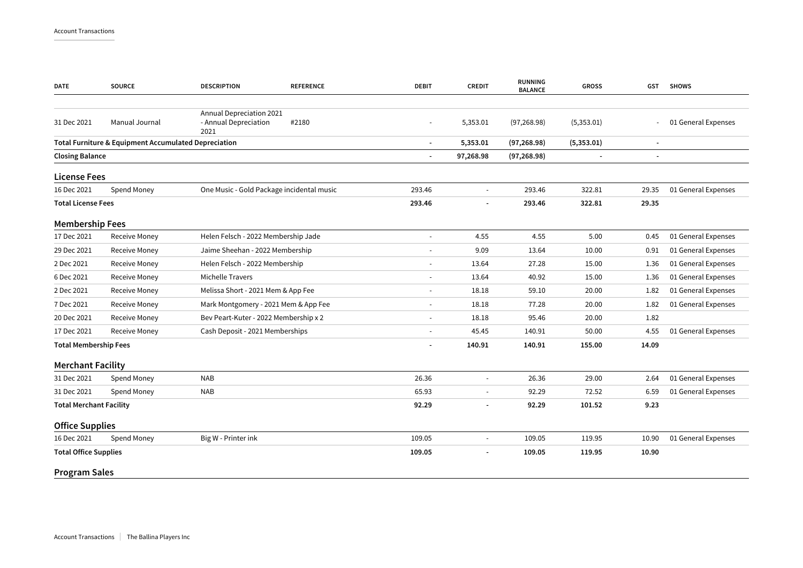| <b>DATE</b>                    | <b>SOURCE</b>                                        | <b>DESCRIPTION</b>                                        | <b>REFERENCE</b> | <b>DEBIT</b>             | <b>CREDIT</b>            | <b>RUNNING</b><br><b>BALANCE</b> | <b>GROSS</b>             | <b>GST</b>               | <b>SHOWS</b>        |
|--------------------------------|------------------------------------------------------|-----------------------------------------------------------|------------------|--------------------------|--------------------------|----------------------------------|--------------------------|--------------------------|---------------------|
| 31 Dec 2021                    | Manual Journal                                       | Annual Depreciation 2021<br>- Annual Depreciation<br>2021 | #2180            |                          | 5,353.01                 | (97, 268.98)                     | (5,353.01)               |                          | 01 General Expenses |
|                                | Total Furniture & Equipment Accumulated Depreciation |                                                           |                  | $\overline{\phantom{a}}$ | 5,353.01                 | (97, 268.98)                     | (5,353.01)               |                          |                     |
| <b>Closing Balance</b>         |                                                      |                                                           |                  |                          | 97,268.98                | (97, 268.98)                     | $\overline{\phantom{a}}$ | $\overline{\phantom{a}}$ |                     |
| <b>License Fees</b>            |                                                      |                                                           |                  |                          |                          |                                  |                          |                          |                     |
| 16 Dec 2021                    | Spend Money                                          | One Music - Gold Package incidental music                 |                  | 293.46                   | $\sim$                   | 293.46                           | 322.81                   | 29.35                    | 01 General Expenses |
| <b>Total License Fees</b>      |                                                      |                                                           |                  | 293.46                   |                          | 293.46                           | 322.81                   | 29.35                    |                     |
| <b>Membership Fees</b>         |                                                      |                                                           |                  |                          |                          |                                  |                          |                          |                     |
| 17 Dec 2021                    | Receive Money                                        | Helen Felsch - 2022 Membership Jade                       |                  |                          | 4.55                     | 4.55                             | 5.00                     | 0.45                     | 01 General Expenses |
| 29 Dec 2021                    | Receive Money                                        | Jaime Sheehan - 2022 Membership                           |                  | 9.09                     | 13.64                    | 10.00                            | 0.91                     | 01 General Expenses      |                     |
| 2 Dec 2021                     | Receive Money                                        | Helen Felsch - 2022 Membership                            |                  | 13.64                    | 27.28                    | 15.00                            | 1.36                     | 01 General Expenses      |                     |
| 6 Dec 2021                     | <b>Receive Money</b>                                 | Michelle Travers                                          |                  | $\overline{\phantom{a}}$ | 13.64                    | 40.92                            | 15.00                    | 1.36                     | 01 General Expenses |
| 2 Dec 2021                     | <b>Receive Money</b>                                 | Melissa Short - 2021 Mem & App Fee                        |                  | $\overline{\phantom{a}}$ | 18.18                    | 59.10                            | 20.00                    | 1.82                     | 01 General Expenses |
| 7 Dec 2021                     | <b>Receive Money</b>                                 | Mark Montgomery - 2021 Mem & App Fee                      |                  | $\overline{\phantom{a}}$ | 18.18                    | 77.28                            | 20.00                    | 1.82                     | 01 General Expenses |
| 20 Dec 2021                    | <b>Receive Money</b>                                 | Bev Peart-Kuter - 2022 Membership x 2                     |                  |                          | 18.18                    | 95.46                            | 20.00                    | 1.82                     |                     |
| 17 Dec 2021                    | <b>Receive Money</b>                                 | Cash Deposit - 2021 Memberships                           |                  |                          | 45.45                    | 140.91                           | 50.00                    | 4.55                     | 01 General Expenses |
| <b>Total Membership Fees</b>   |                                                      |                                                           |                  |                          | 140.91                   | 140.91                           | 155.00                   | 14.09                    |                     |
| <b>Merchant Facility</b>       |                                                      |                                                           |                  |                          |                          |                                  |                          |                          |                     |
| 31 Dec 2021                    | Spend Money                                          | <b>NAB</b>                                                |                  | 26.36                    | $\sim$                   | 26.36                            | 29.00                    | 2.64                     | 01 General Expenses |
| 31 Dec 2021                    | Spend Money                                          | <b>NAB</b>                                                |                  | 65.93                    | $\sim$                   | 92.29                            | 72.52                    | 6.59                     | 01 General Expenses |
| <b>Total Merchant Facility</b> |                                                      |                                                           |                  | 92.29                    |                          | 92.29                            | 101.52                   | 9.23                     |                     |
| <b>Office Supplies</b>         |                                                      |                                                           |                  |                          |                          |                                  |                          |                          |                     |
| 16 Dec 2021                    | Spend Money                                          | Big W - Printer ink                                       |                  | 109.05                   | $\overline{\phantom{a}}$ | 109.05                           | 119.95                   | 10.90                    | 01 General Expenses |
| <b>Total Office Supplies</b>   |                                                      |                                                           |                  | 109.05                   |                          | 109.05                           | 119.95                   | 10.90                    |                     |
| <b>Program Sales</b>           |                                                      |                                                           |                  |                          |                          |                                  |                          |                          |                     |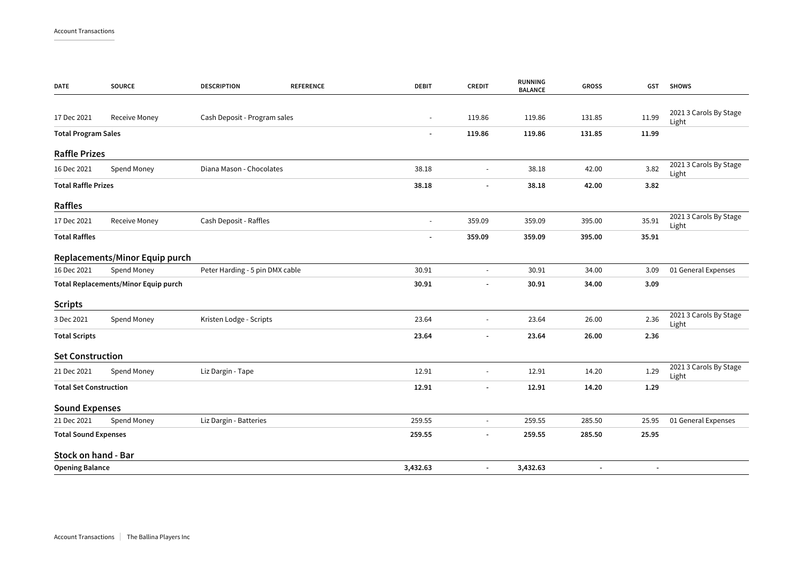| <b>DATE</b>                          | <b>SOURCE</b>                  | <b>DESCRIPTION</b>              | <b>REFERENCE</b> | <b>DEBIT</b>             | <b>CREDIT</b>            | <b>RUNNING</b><br><b>BALANCE</b> | <b>GROSS</b>             | <b>GST</b>               | <b>SHOWS</b>                    |
|--------------------------------------|--------------------------------|---------------------------------|------------------|--------------------------|--------------------------|----------------------------------|--------------------------|--------------------------|---------------------------------|
|                                      |                                |                                 |                  |                          |                          |                                  |                          |                          |                                 |
| 17 Dec 2021                          | Receive Money                  | Cash Deposit - Program sales    |                  | $\overline{\phantom{a}}$ | 119.86                   | 119.86                           | 131.85                   | 11.99                    | 2021 3 Carols By Stage<br>Light |
| <b>Total Program Sales</b>           |                                |                                 |                  | $\overline{\phantom{a}}$ | 119.86                   | 119.86                           | 131.85                   | 11.99                    |                                 |
| <b>Raffle Prizes</b>                 |                                |                                 |                  |                          |                          |                                  |                          |                          |                                 |
| 16 Dec 2021                          | Spend Money                    | Diana Mason - Chocolates        |                  | 38.18                    |                          | 38.18                            | 42.00                    | 3.82                     | 2021 3 Carols By Stage<br>Light |
| <b>Total Raffle Prizes</b>           |                                | 38.18                           |                  | 38.18                    | 42.00                    | 3.82                             |                          |                          |                                 |
| Raffles                              |                                |                                 |                  |                          |                          |                                  |                          |                          |                                 |
| 17 Dec 2021                          | <b>Receive Money</b>           | Cash Deposit - Raffles          |                  | $\blacksquare$           | 359.09                   | 359.09                           | 395.00                   | 35.91                    | 2021 3 Carols By Stage<br>Light |
| <b>Total Raffles</b>                 |                                |                                 |                  |                          | 359.09                   | 359.09                           | 395.00                   | 35.91                    |                                 |
|                                      | Replacements/Minor Equip purch |                                 |                  |                          |                          |                                  |                          |                          |                                 |
| 16 Dec 2021                          | Spend Money                    | Peter Harding - 5 pin DMX cable |                  | 30.91                    |                          | 30.91                            | 34.00                    | 3.09                     | 01 General Expenses             |
| Total Replacements/Minor Equip purch |                                |                                 |                  | 30.91                    | $\overline{\phantom{a}}$ | 30.91                            | 34.00                    | 3.09                     |                                 |
| <b>Scripts</b>                       |                                |                                 |                  |                          |                          |                                  |                          |                          |                                 |
| 3 Dec 2021                           | Spend Money                    | Kristen Lodge - Scripts         |                  | 23.64                    | $\overline{\phantom{a}}$ | 23.64                            | 26.00                    | 2.36                     | 2021 3 Carols By Stage<br>Light |
| <b>Total Scripts</b>                 |                                |                                 |                  | 23.64                    | $\overline{\phantom{a}}$ | 23.64                            | 26.00                    | 2.36                     |                                 |
| <b>Set Construction</b>              |                                |                                 |                  |                          |                          |                                  |                          |                          |                                 |
| 21 Dec 2021                          | Spend Money                    | Liz Dargin - Tape               |                  | 12.91                    |                          | 12.91                            | 14.20                    | 1.29                     | 2021 3 Carols By Stage<br>Light |
| <b>Total Set Construction</b>        |                                |                                 |                  | 12.91                    |                          | 12.91                            | 14.20                    | 1.29                     |                                 |
| <b>Sound Expenses</b>                |                                |                                 |                  |                          |                          |                                  |                          |                          |                                 |
| 21 Dec 2021                          | Spend Money                    | Liz Dargin - Batteries          |                  | 259.55                   | $\overline{\phantom{a}}$ | 259.55                           | 285.50                   | 25.95                    | 01 General Expenses             |
| <b>Total Sound Expenses</b>          |                                |                                 |                  | 259.55                   |                          | 259.55                           | 285.50                   | 25.95                    |                                 |
| Stock on hand - Bar                  |                                |                                 |                  |                          |                          |                                  |                          |                          |                                 |
| <b>Opening Balance</b>               |                                |                                 |                  | 3,432.63                 | $\overline{\phantom{a}}$ | 3,432.63                         | $\overline{\phantom{a}}$ | $\overline{\phantom{a}}$ |                                 |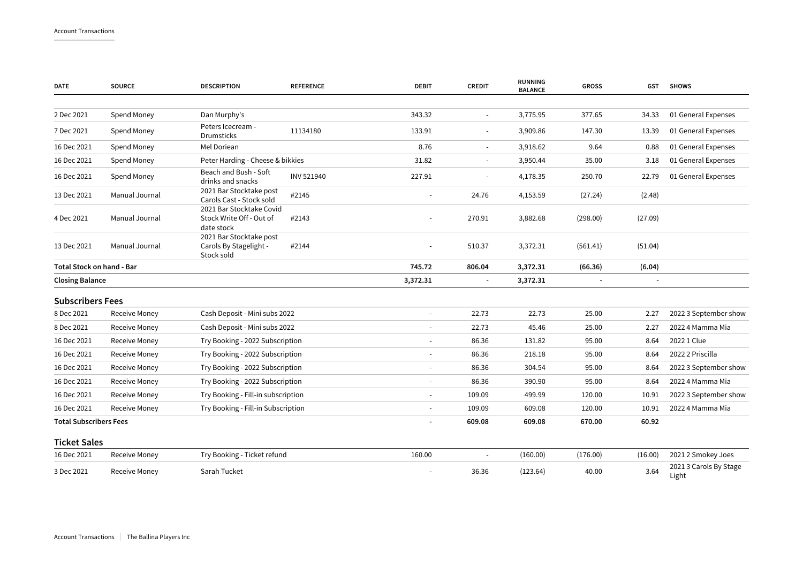| <b>DATE</b>                   | <b>SOURCE</b>        | <b>DESCRIPTION</b>                                                 | <b>REFERENCE</b> | <b>DEBIT</b>             | <b>CREDIT</b>  | <b>RUNNING</b><br><b>BALANCE</b> | <b>GROSS</b> | <b>GST</b>     | <b>SHOWS</b>                    |
|-------------------------------|----------------------|--------------------------------------------------------------------|------------------|--------------------------|----------------|----------------------------------|--------------|----------------|---------------------------------|
| 2 Dec 2021                    | Spend Money          | Dan Murphy's                                                       |                  | 343.32                   | $\blacksquare$ | 3,775.95                         | 377.65       | 34.33          | 01 General Expenses             |
| 7 Dec 2021                    | Spend Money          | Peters Icecream -<br><b>Drumsticks</b>                             | 11134180         | 133.91                   | $\blacksquare$ | 3,909.86                         | 147.30       | 13.39          | 01 General Expenses             |
| 16 Dec 2021                   | Spend Money          | Mel Doriean                                                        |                  | 8.76                     | $\blacksquare$ | 3,918.62                         | 9.64         | 0.88           | 01 General Expenses             |
| 16 Dec 2021                   | Spend Money          | Peter Harding - Cheese & bikkies                                   |                  | 31.82                    |                | 3,950.44                         | 35.00        | 3.18           | 01 General Expenses             |
| 16 Dec 2021                   | Spend Money          | Beach and Bush - Soft<br>drinks and snacks                         | INV 521940       | 227.91                   | $\blacksquare$ | 4,178.35                         | 250.70       | 22.79          | 01 General Expenses             |
| 13 Dec 2021                   | Manual Journal       | 2021 Bar Stocktake post<br>Carols Cast - Stock sold                | #2145            | $\sim$                   | 24.76          | 4,153.59                         | (27.24)      | (2.48)         |                                 |
| 4 Dec 2021                    | Manual Journal       | 2021 Bar Stocktake Covid<br>Stock Write Off - Out of<br>date stock | #2143            |                          | 270.91         | 3,882.68                         | (298.00)     | (27.09)        |                                 |
| 13 Dec 2021                   | Manual Journal       | 2021 Bar Stocktake post<br>Carols By Stagelight -<br>Stock sold    | #2144            |                          | 510.37         | 3,372.31                         | (561.41)     | (51.04)        |                                 |
| Total Stock on hand - Bar     |                      |                                                                    | 745.72           | 806.04                   | 3,372.31       | (66.36)                          | (6.04)       |                |                                 |
| <b>Closing Balance</b>        |                      |                                                                    |                  | 3,372.31                 | $\blacksquare$ | 3,372.31                         |              | $\blacksquare$ |                                 |
| <b>Subscribers Fees</b>       |                      |                                                                    |                  |                          |                |                                  |              |                |                                 |
| 8 Dec 2021                    | <b>Receive Money</b> | Cash Deposit - Mini subs 2022                                      |                  | $\blacksquare$           | 22.73          | 22.73                            | 25.00        | 2.27           | 2022 3 September show           |
| 8 Dec 2021                    | <b>Receive Money</b> | Cash Deposit - Mini subs 2022                                      |                  | $\overline{\phantom{a}}$ | 22.73          | 45.46                            | 25.00        | 2.27           | 2022 4 Mamma Mia                |
| 16 Dec 2021                   | <b>Receive Money</b> | Try Booking - 2022 Subscription                                    |                  | $\overline{\phantom{a}}$ | 86.36          | 131.82                           | 95.00        | 8.64           | 2022 1 Clue                     |
| 16 Dec 2021                   | Receive Money        | Try Booking - 2022 Subscription                                    |                  | $\overline{\phantom{a}}$ | 86.36          | 218.18                           | 95.00        | 8.64           | 2022 2 Priscilla                |
| 16 Dec 2021                   | Receive Money        | Try Booking - 2022 Subscription                                    |                  | $\overline{\phantom{a}}$ | 86.36          | 304.54                           | 95.00        | 8.64           | 2022 3 September show           |
| 16 Dec 2021                   | Receive Money        | Try Booking - 2022 Subscription                                    |                  | $\overline{\phantom{a}}$ | 86.36          | 390.90                           | 95.00        | 8.64           | 2022 4 Mamma Mia                |
| 16 Dec 2021                   | Receive Money        | Try Booking - Fill-in subscription                                 |                  | $\overline{\phantom{a}}$ | 109.09         | 499.99                           | 120.00       | 10.91          | 2022 3 September show           |
| 16 Dec 2021                   | Receive Money        | Try Booking - Fill-in Subscription                                 |                  | $\overline{\phantom{a}}$ | 109.09         | 609.08                           | 120.00       | 10.91          | 2022 4 Mamma Mia                |
| <b>Total Subscribers Fees</b> |                      |                                                                    | 609.08           | 609.08                   | 670.00         | 60.92                            |              |                |                                 |
| <b>Ticket Sales</b>           |                      |                                                                    |                  |                          |                |                                  |              |                |                                 |
| 16 Dec 2021                   | <b>Receive Money</b> | Try Booking - Ticket refund                                        |                  | 160.00                   |                | (160.00)                         | (176.00)     | (16.00)        | 2021 2 Smokey Joes              |
| 3 Dec 2021                    | <b>Receive Money</b> | Sarah Tucket                                                       |                  |                          | 36.36          | (123.64)                         | 40.00        | 3.64           | 2021 3 Carols By Stage<br>Light |